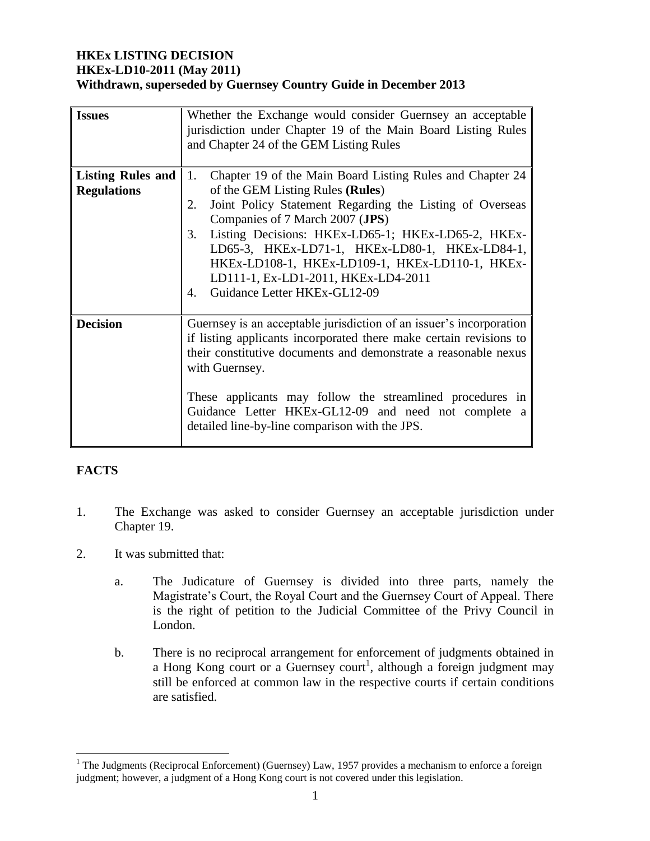#### **HKEx LISTING DECISION HKEx-LD10-2011 (May 2011) Withdrawn, superseded by Guernsey Country Guide in December 2013**

| <b>Issues</b>                                  | Whether the Exchange would consider Guernsey an acceptable<br>jurisdiction under Chapter 19 of the Main Board Listing Rules<br>and Chapter 24 of the GEM Listing Rules                                                                                                                                                                                                                                                                                 |  |  |
|------------------------------------------------|--------------------------------------------------------------------------------------------------------------------------------------------------------------------------------------------------------------------------------------------------------------------------------------------------------------------------------------------------------------------------------------------------------------------------------------------------------|--|--|
| <b>Listing Rules and</b><br><b>Regulations</b> | Chapter 19 of the Main Board Listing Rules and Chapter 24<br>1.<br>of the GEM Listing Rules (Rules)<br>Joint Policy Statement Regarding the Listing of Overseas<br>2.<br>Companies of 7 March 2007 (JPS)<br>Listing Decisions: HKEx-LD65-1; HKEx-LD65-2, HKEx-<br>3.<br>LD65-3, HKEx-LD71-1, HKEx-LD80-1, HKEx-LD84-1,<br>HKEX-LD108-1, HKEX-LD109-1, HKEX-LD110-1, HKEX-<br>LD111-1, Ex-LD1-2011, HKEx-LD4-2011<br>Guidance Letter HKEx-GL12-09<br>4. |  |  |
| <b>Decision</b>                                | Guernsey is an acceptable jurisdiction of an issuer's incorporation<br>if listing applicants incorporated there make certain revisions to<br>their constitutive documents and demonstrate a reasonable nexus<br>with Guernsey.<br>These applicants may follow the streamlined procedures in<br>Guidance Letter HKEx-GL12-09 and need not complete a<br>detailed line-by-line comparison with the JPS.                                                  |  |  |

# **FACTS**

 $\overline{a}$ 

- 1. The Exchange was asked to consider Guernsey an acceptable jurisdiction under Chapter 19.
- 2. It was submitted that:
	- a. The Judicature of Guernsey is divided into three parts, namely the Magistrate's Court, the Royal Court and the Guernsey Court of Appeal. There is the right of petition to the Judicial Committee of the Privy Council in London.
	- b. There is no reciprocal arrangement for enforcement of judgments obtained in a Hong Kong court or a Guernsey court<sup>1</sup>, although a foreign judgment may still be enforced at common law in the respective courts if certain conditions are satisfied.

<sup>&</sup>lt;sup>1</sup> The Judgments (Reciprocal Enforcement) (Guernsey) Law, 1957 provides a mechanism to enforce a foreign judgment; however, a judgment of a Hong Kong court is not covered under this legislation.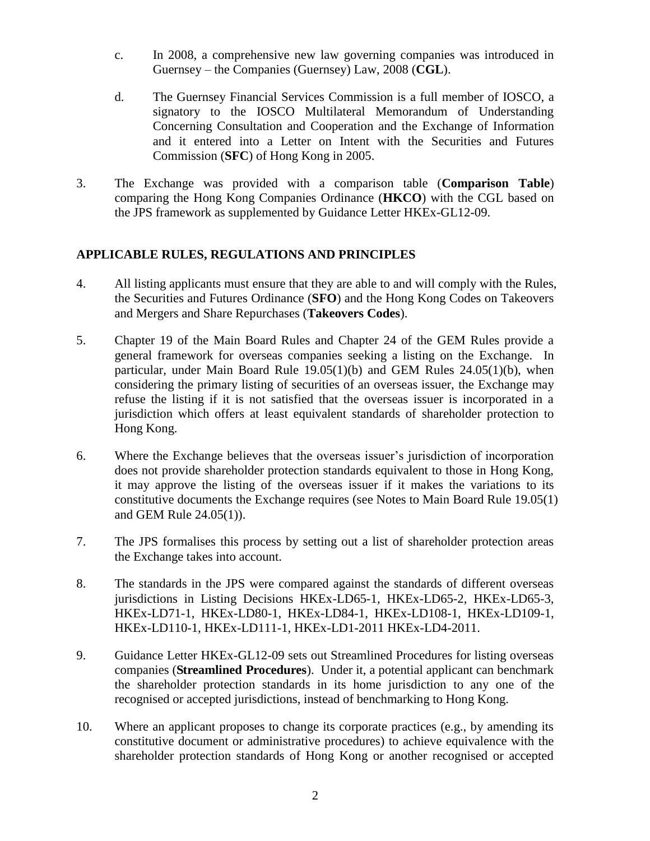- c. In 2008, a comprehensive new law governing companies was introduced in Guernsey – the Companies (Guernsey) Law, 2008 (**CGL**).
- d. The Guernsey Financial Services Commission is a full member of IOSCO, a signatory to the IOSCO Multilateral Memorandum of Understanding Concerning Consultation and Cooperation and the Exchange of Information and it entered into a Letter on Intent with the Securities and Futures Commission (**SFC**) of Hong Kong in 2005.
- 3. The Exchange was provided with a comparison table (**Comparison Table**) comparing the Hong Kong Companies Ordinance (**HKCO**) with the CGL based on the JPS framework as supplemented by Guidance Letter HKEx-GL12-09.

### **APPLICABLE RULES, REGULATIONS AND PRINCIPLES**

- 4. All listing applicants must ensure that they are able to and will comply with the Rules, the Securities and Futures Ordinance (**SFO**) and the Hong Kong Codes on Takeovers and Mergers and Share Repurchases (**Takeovers Codes**).
- 5. Chapter 19 of the Main Board Rules and Chapter 24 of the GEM Rules provide a general framework for overseas companies seeking a listing on the Exchange. In particular, under Main Board Rule 19.05(1)(b) and GEM Rules 24.05(1)(b), when considering the primary listing of securities of an overseas issuer, the Exchange may refuse the listing if it is not satisfied that the overseas issuer is incorporated in a jurisdiction which offers at least equivalent standards of shareholder protection to Hong Kong.
- 6. Where the Exchange believes that the overseas issuer's jurisdiction of incorporation does not provide shareholder protection standards equivalent to those in Hong Kong, it may approve the listing of the overseas issuer if it makes the variations to its constitutive documents the Exchange requires (see Notes to Main Board Rule 19.05(1) and GEM Rule 24.05(1)).
- 7. The JPS formalises this process by setting out a list of shareholder protection areas the Exchange takes into account.
- 8. The standards in the JPS were compared against the standards of different overseas jurisdictions in Listing Decisions HKEx-LD65-1, HKEx-LD65-2, HKEx-LD65-3, HKEx-LD71-1, HKEx-LD80-1, HKEx-LD84-1, HKEx-LD108-1, HKEx-LD109-1, HKEx-LD110-1, HKEx-LD111-1, HKEx-LD1-2011 HKEx-LD4-2011.
- 9. Guidance Letter HKEx-GL12-09 sets out Streamlined Procedures for listing overseas companies (**Streamlined Procedures**). Under it, a potential applicant can benchmark the shareholder protection standards in its home jurisdiction to any one of the recognised or accepted jurisdictions, instead of benchmarking to Hong Kong.
- 10. Where an applicant proposes to change its corporate practices (e.g., by amending its constitutive document or administrative procedures) to achieve equivalence with the shareholder protection standards of Hong Kong or another recognised or accepted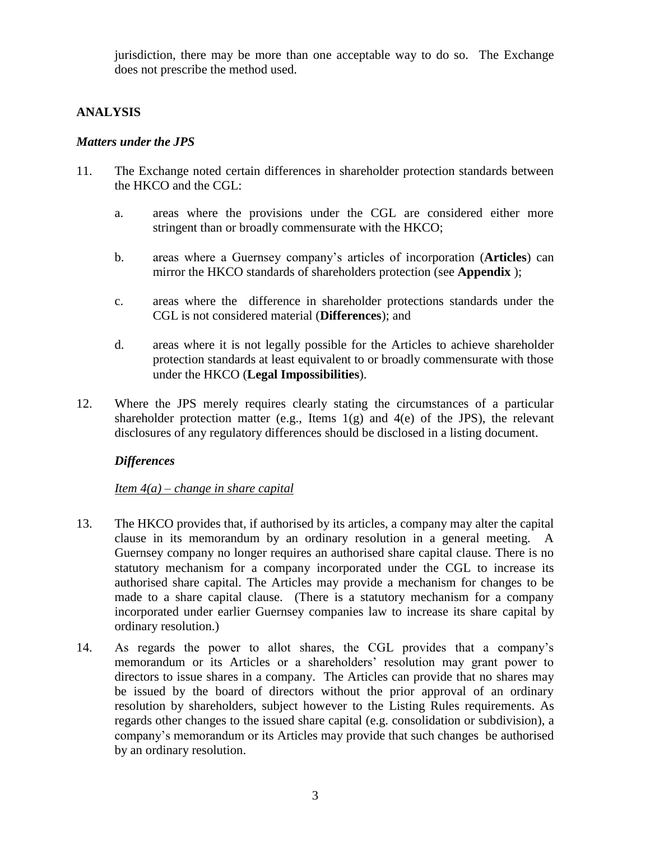jurisdiction, there may be more than one acceptable way to do so. The Exchange does not prescribe the method used.

### **ANALYSIS**

#### *Matters under the JPS*

- 11. The Exchange noted certain differences in shareholder protection standards between the HKCO and the CGL:
	- a. areas where the provisions under the CGL are considered either more stringent than or broadly commensurate with the HKCO;
	- b. areas where a Guernsey company's articles of incorporation (**Articles**) can mirror the HKCO standards of shareholders protection (see **Appendix** );
	- c. areas where the difference in shareholder protections standards under the CGL is not considered material (**Differences**); and
	- d. areas where it is not legally possible for the Articles to achieve shareholder protection standards at least equivalent to or broadly commensurate with those under the HKCO (**Legal Impossibilities**).
- 12. Where the JPS merely requires clearly stating the circumstances of a particular shareholder protection matter (e.g., Items  $1(g)$  and  $4(e)$  of the JPS), the relevant disclosures of any regulatory differences should be disclosed in a listing document.

### *Differences*

### *Item 4(a) – change in share capital*

- 13. The HKCO provides that, if authorised by its articles, a company may alter the capital clause in its memorandum by an ordinary resolution in a general meeting. A Guernsey company no longer requires an authorised share capital clause. There is no statutory mechanism for a company incorporated under the CGL to increase its authorised share capital. The Articles may provide a mechanism for changes to be made to a share capital clause. (There is a statutory mechanism for a company incorporated under earlier Guernsey companies law to increase its share capital by ordinary resolution.)
- 14. As regards the power to allot shares, the CGL provides that a company's memorandum or its Articles or a shareholders' resolution may grant power to directors to issue shares in a company. The Articles can provide that no shares may be issued by the board of directors without the prior approval of an ordinary resolution by shareholders, subject however to the Listing Rules requirements. As regards other changes to the issued share capital (e.g. consolidation or subdivision), a company's memorandum or its Articles may provide that such changes be authorised by an ordinary resolution.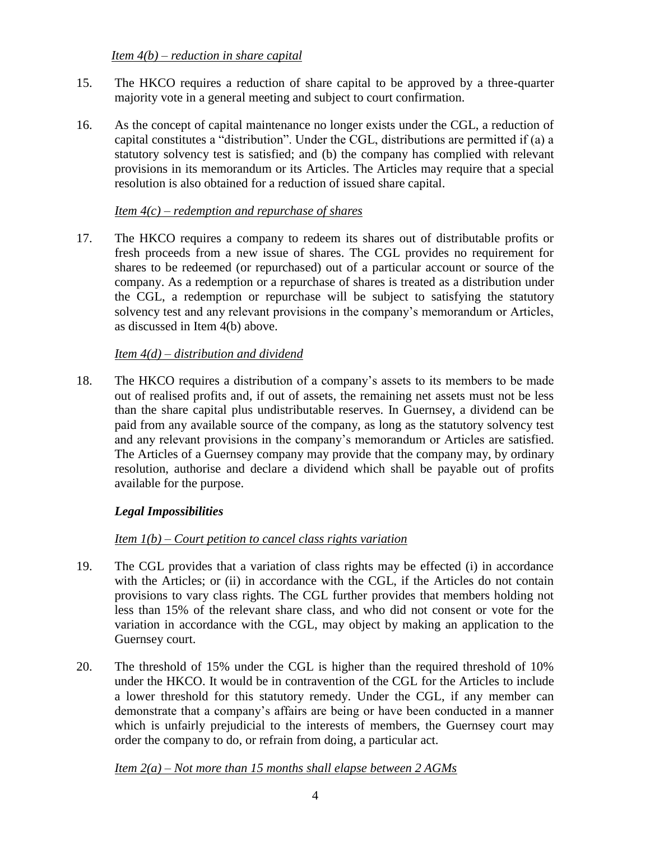- 15. The HKCO requires a reduction of share capital to be approved by a three-quarter majority vote in a general meeting and subject to court confirmation.
- 16. As the concept of capital maintenance no longer exists under the CGL, a reduction of capital constitutes a "distribution". Under the CGL, distributions are permitted if (a) a statutory solvency test is satisfied; and (b) the company has complied with relevant provisions in its memorandum or its Articles. The Articles may require that a special resolution is also obtained for a reduction of issued share capital.

### *Item 4(c) – redemption and repurchase of shares*

17. The HKCO requires a company to redeem its shares out of distributable profits or fresh proceeds from a new issue of shares. The CGL provides no requirement for shares to be redeemed (or repurchased) out of a particular account or source of the company. As a redemption or a repurchase of shares is treated as a distribution under the CGL, a redemption or repurchase will be subject to satisfying the statutory solvency test and any relevant provisions in the company's memorandum or Articles, as discussed in Item 4(b) above.

### *Item 4(d) – distribution and dividend*

18. The HKCO requires a distribution of a company's assets to its members to be made out of realised profits and, if out of assets, the remaining net assets must not be less than the share capital plus undistributable reserves. In Guernsey, a dividend can be paid from any available source of the company, as long as the statutory solvency test and any relevant provisions in the company's memorandum or Articles are satisfied. The Articles of a Guernsey company may provide that the company may, by ordinary resolution, authorise and declare a dividend which shall be payable out of profits available for the purpose.

### *Legal Impossibilities*

### *Item 1(b) – Court petition to cancel class rights variation*

- 19. The CGL provides that a variation of class rights may be effected (i) in accordance with the Articles; or (ii) in accordance with the CGL, if the Articles do not contain provisions to vary class rights. The CGL further provides that members holding not less than 15% of the relevant share class, and who did not consent or vote for the variation in accordance with the CGL, may object by making an application to the Guernsey court.
- 20. The threshold of 15% under the CGL is higher than the required threshold of 10% under the HKCO. It would be in contravention of the CGL for the Articles to include a lower threshold for this statutory remedy. Under the CGL, if any member can demonstrate that a company's affairs are being or have been conducted in a manner which is unfairly prejudicial to the interests of members, the Guernsey court may order the company to do, or refrain from doing, a particular act.

### *Item 2(a) – Not more than 15 months shall elapse between 2 AGMs*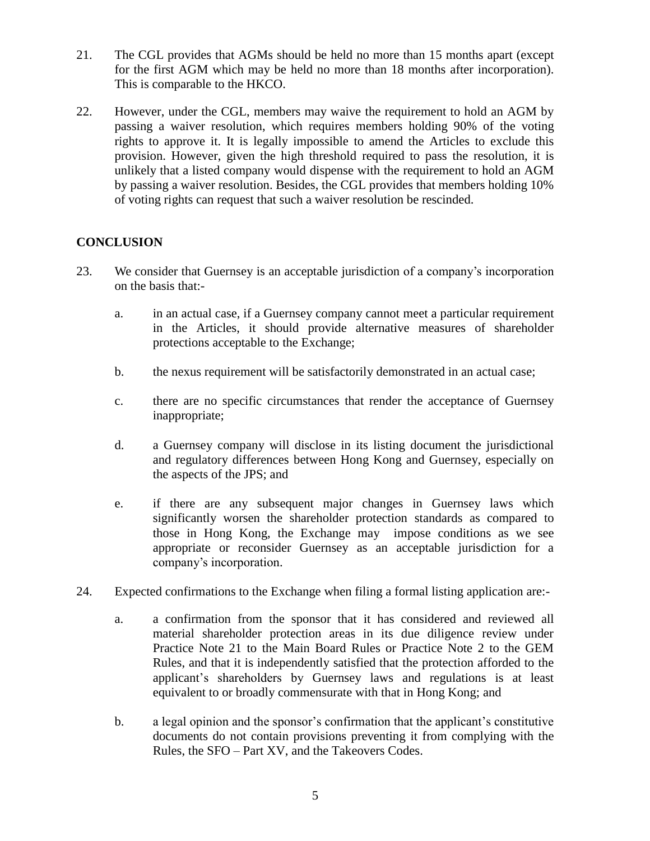- 21. The CGL provides that AGMs should be held no more than 15 months apart (except for the first AGM which may be held no more than 18 months after incorporation). This is comparable to the HKCO.
- 22. However, under the CGL, members may waive the requirement to hold an AGM by passing a waiver resolution, which requires members holding 90% of the voting rights to approve it. It is legally impossible to amend the Articles to exclude this provision. However, given the high threshold required to pass the resolution, it is unlikely that a listed company would dispense with the requirement to hold an AGM by passing a waiver resolution. Besides, the CGL provides that members holding 10% of voting rights can request that such a waiver resolution be rescinded.

### **CONCLUSION**

- 23. We consider that Guernsey is an acceptable jurisdiction of a company's incorporation on the basis that:
	- a. in an actual case, if a Guernsey company cannot meet a particular requirement in the Articles, it should provide alternative measures of shareholder protections acceptable to the Exchange;
	- b. the nexus requirement will be satisfactorily demonstrated in an actual case;
	- c. there are no specific circumstances that render the acceptance of Guernsey inappropriate;
	- d. a Guernsey company will disclose in its listing document the jurisdictional and regulatory differences between Hong Kong and Guernsey, especially on the aspects of the JPS; and
	- e. if there are any subsequent major changes in Guernsey laws which significantly worsen the shareholder protection standards as compared to those in Hong Kong, the Exchange may impose conditions as we see appropriate or reconsider Guernsey as an acceptable jurisdiction for a company's incorporation.
- 24. Expected confirmations to the Exchange when filing a formal listing application are:
	- a. a confirmation from the sponsor that it has considered and reviewed all material shareholder protection areas in its due diligence review under Practice Note 21 to the Main Board Rules or Practice Note 2 to the GEM Rules, and that it is independently satisfied that the protection afforded to the applicant's shareholders by Guernsey laws and regulations is at least equivalent to or broadly commensurate with that in Hong Kong; and
	- b. a legal opinion and the sponsor's confirmation that the applicant's constitutive documents do not contain provisions preventing it from complying with the Rules, the SFO – Part XV, and the Takeovers Codes.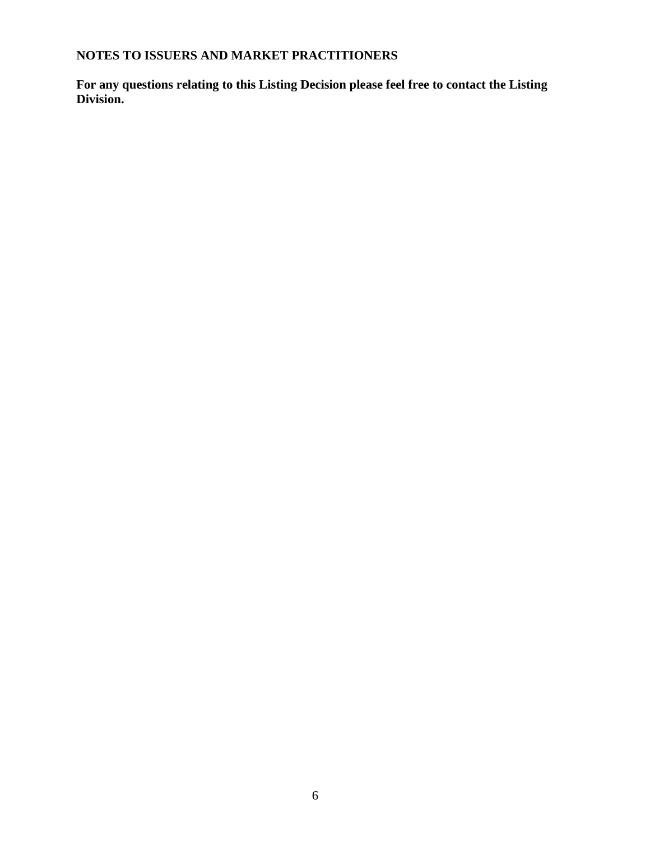# **NOTES TO ISSUERS AND MARKET PRACTITIONERS**

**For any questions relating to this Listing Decision please feel free to contact the Listing Division.**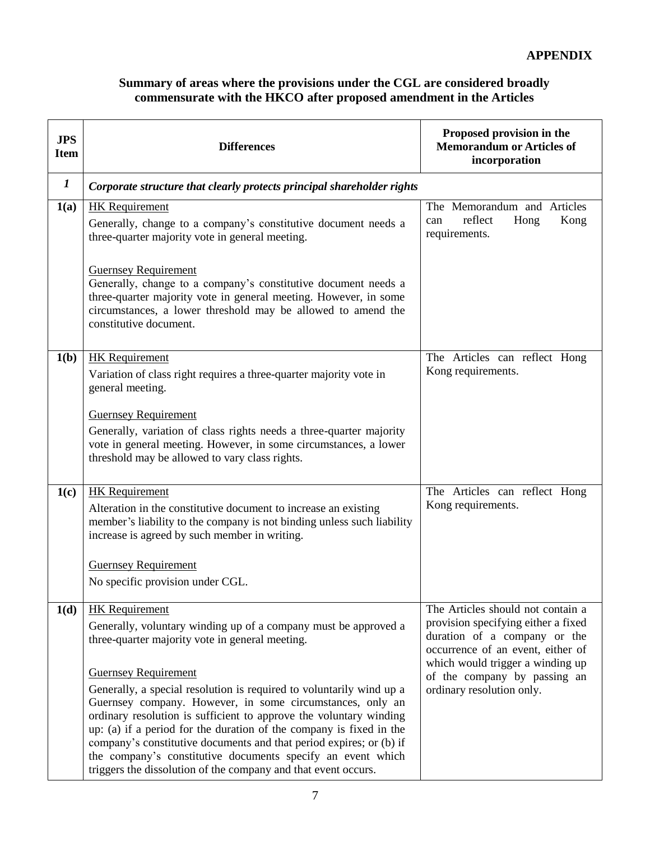## **Summary of areas where the provisions under the CGL are considered broadly commensurate with the HKCO after proposed amendment in the Articles**

| <b>JPS</b><br><b>Item</b> | <b>Differences</b>                                                                                                                                                                                                                                                                                                                                                                                                                                                                                                                                                                                                                                                   | Proposed provision in the<br><b>Memorandum or Articles of</b><br>incorporation                                                                                                                                                                 |  |
|---------------------------|----------------------------------------------------------------------------------------------------------------------------------------------------------------------------------------------------------------------------------------------------------------------------------------------------------------------------------------------------------------------------------------------------------------------------------------------------------------------------------------------------------------------------------------------------------------------------------------------------------------------------------------------------------------------|------------------------------------------------------------------------------------------------------------------------------------------------------------------------------------------------------------------------------------------------|--|
| $\bm{l}$                  | Corporate structure that clearly protects principal shareholder rights                                                                                                                                                                                                                                                                                                                                                                                                                                                                                                                                                                                               |                                                                                                                                                                                                                                                |  |
| 1(a)                      | <b>HK</b> Requirement<br>Generally, change to a company's constitutive document needs a<br>three-quarter majority vote in general meeting.                                                                                                                                                                                                                                                                                                                                                                                                                                                                                                                           | The Memorandum and Articles<br>reflect<br>Hong<br>Kong<br>can<br>requirements.                                                                                                                                                                 |  |
|                           | <b>Guernsey Requirement</b><br>Generally, change to a company's constitutive document needs a<br>three-quarter majority vote in general meeting. However, in some<br>circumstances, a lower threshold may be allowed to amend the<br>constitutive document.                                                                                                                                                                                                                                                                                                                                                                                                          |                                                                                                                                                                                                                                                |  |
| 1(b)                      | <b>HK</b> Requirement<br>Variation of class right requires a three-quarter majority vote in<br>general meeting.                                                                                                                                                                                                                                                                                                                                                                                                                                                                                                                                                      | The Articles can reflect Hong<br>Kong requirements.                                                                                                                                                                                            |  |
|                           | <b>Guernsey Requirement</b><br>Generally, variation of class rights needs a three-quarter majority<br>vote in general meeting. However, in some circumstances, a lower<br>threshold may be allowed to vary class rights.                                                                                                                                                                                                                                                                                                                                                                                                                                             |                                                                                                                                                                                                                                                |  |
| 1(c)                      | <b>HK</b> Requirement<br>Alteration in the constitutive document to increase an existing<br>member's liability to the company is not binding unless such liability<br>increase is agreed by such member in writing.<br><b>Guernsey Requirement</b><br>No specific provision under CGL.                                                                                                                                                                                                                                                                                                                                                                               | The Articles can reflect Hong<br>Kong requirements.                                                                                                                                                                                            |  |
| 1(d)                      | <b>HK</b> Requirement<br>Generally, voluntary winding up of a company must be approved a<br>three-quarter majority vote in general meeting.<br><b>Guernsey Requirement</b><br>Generally, a special resolution is required to voluntarily wind up a<br>Guernsey company. However, in some circumstances, only an<br>ordinary resolution is sufficient to approve the voluntary winding<br>up: (a) if a period for the duration of the company is fixed in the<br>company's constitutive documents and that period expires; or (b) if<br>the company's constitutive documents specify an event which<br>triggers the dissolution of the company and that event occurs. | The Articles should not contain a<br>provision specifying either a fixed<br>duration of a company or the<br>occurrence of an event, either of<br>which would trigger a winding up<br>of the company by passing an<br>ordinary resolution only. |  |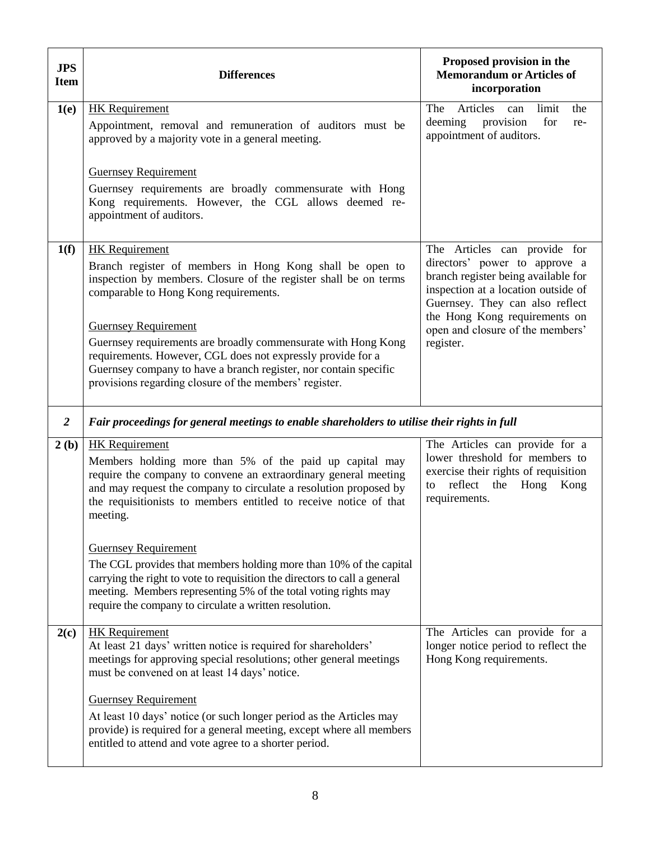| <b>JPS</b><br><b>Item</b> | <b>Differences</b>                                                                                                                                                                                                                                                                                                                                                                                                                                                                          | Proposed provision in the<br><b>Memorandum or Articles of</b><br>incorporation                                                                                                                                                                                   |
|---------------------------|---------------------------------------------------------------------------------------------------------------------------------------------------------------------------------------------------------------------------------------------------------------------------------------------------------------------------------------------------------------------------------------------------------------------------------------------------------------------------------------------|------------------------------------------------------------------------------------------------------------------------------------------------------------------------------------------------------------------------------------------------------------------|
| 1(e)                      | <b>HK</b> Requirement<br>Appointment, removal and remuneration of auditors must be<br>approved by a majority vote in a general meeting.                                                                                                                                                                                                                                                                                                                                                     | Articles<br>limit<br>The<br>can<br>the<br>deeming<br>provision<br>for<br>re-<br>appointment of auditors.                                                                                                                                                         |
|                           | <b>Guernsey Requirement</b><br>Guernsey requirements are broadly commensurate with Hong<br>Kong requirements. However, the CGL allows deemed re-<br>appointment of auditors.                                                                                                                                                                                                                                                                                                                |                                                                                                                                                                                                                                                                  |
| 1(f)                      | <b>HK</b> Requirement<br>Branch register of members in Hong Kong shall be open to<br>inspection by members. Closure of the register shall be on terms<br>comparable to Hong Kong requirements.<br><b>Guernsey Requirement</b><br>Guernsey requirements are broadly commensurate with Hong Kong<br>requirements. However, CGL does not expressly provide for a<br>Guernsey company to have a branch register, nor contain specific<br>provisions regarding closure of the members' register. | The Articles can provide for<br>directors' power to approve a<br>branch register being available for<br>inspection at a location outside of<br>Guernsey. They can also reflect<br>the Hong Kong requirements on<br>open and closure of the members'<br>register. |
| $\overline{2}$            | Fair proceedings for general meetings to enable shareholders to utilise their rights in full                                                                                                                                                                                                                                                                                                                                                                                                |                                                                                                                                                                                                                                                                  |
| 2(b)                      | <b>HK</b> Requirement<br>Members holding more than 5% of the paid up capital may<br>require the company to convene an extraordinary general meeting<br>and may request the company to circulate a resolution proposed by<br>the requisitionists to members entitled to receive notice of that<br>meeting.                                                                                                                                                                                   | The Articles can provide for a<br>lower threshold for members to<br>exercise their rights of requisition<br>reflect the<br>Hong<br>Kong<br>to<br>requirements.                                                                                                   |
|                           | <b>Guernsey Requirement</b><br>The CGL provides that members holding more than 10% of the capital<br>carrying the right to vote to requisition the directors to call a general<br>meeting. Members representing 5% of the total voting rights may<br>require the company to circulate a written resolution.                                                                                                                                                                                 |                                                                                                                                                                                                                                                                  |
| 2(c)                      | <b>HK</b> Requirement<br>At least 21 days' written notice is required for shareholders'<br>meetings for approving special resolutions; other general meetings<br>must be convened on at least 14 days' notice.                                                                                                                                                                                                                                                                              | The Articles can provide for a<br>longer notice period to reflect the<br>Hong Kong requirements.                                                                                                                                                                 |
|                           | <b>Guernsey Requirement</b><br>At least 10 days' notice (or such longer period as the Articles may<br>provide) is required for a general meeting, except where all members<br>entitled to attend and vote agree to a shorter period.                                                                                                                                                                                                                                                        |                                                                                                                                                                                                                                                                  |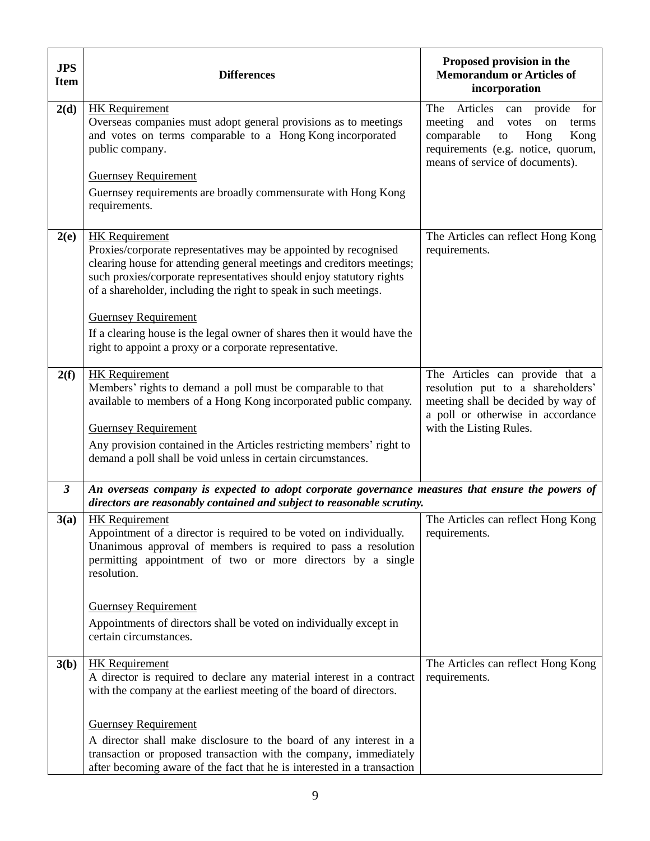| <b>JPS</b><br><b>Item</b> | <b>Differences</b>                                                                                                                                                                                                                                                                                                                                                                                                                                                                  | Proposed provision in the<br><b>Memorandum or Articles of</b><br>incorporation                                                                                                         |
|---------------------------|-------------------------------------------------------------------------------------------------------------------------------------------------------------------------------------------------------------------------------------------------------------------------------------------------------------------------------------------------------------------------------------------------------------------------------------------------------------------------------------|----------------------------------------------------------------------------------------------------------------------------------------------------------------------------------------|
| 2(d)                      | <b>HK</b> Requirement<br>Overseas companies must adopt general provisions as to meetings<br>and votes on terms comparable to a Hong Kong incorporated<br>public company.<br><b>Guernsey Requirement</b><br>Guernsey requirements are broadly commensurate with Hong Kong                                                                                                                                                                                                            | Articles can provide for<br>The<br>and<br>meeting<br>votes<br>on<br>terms<br>comparable<br>Hong<br>Kong<br>to<br>requirements (e.g. notice, quorum,<br>means of service of documents). |
|                           | requirements.                                                                                                                                                                                                                                                                                                                                                                                                                                                                       |                                                                                                                                                                                        |
| 2(e)                      | <b>HK</b> Requirement<br>Proxies/corporate representatives may be appointed by recognised<br>clearing house for attending general meetings and creditors meetings;<br>such proxies/corporate representatives should enjoy statutory rights<br>of a shareholder, including the right to speak in such meetings.<br><b>Guernsey Requirement</b><br>If a clearing house is the legal owner of shares then it would have the<br>right to appoint a proxy or a corporate representative. | The Articles can reflect Hong Kong<br>requirements.                                                                                                                                    |
| 2(f)                      | <b>HK</b> Requirement<br>Members' rights to demand a poll must be comparable to that<br>available to members of a Hong Kong incorporated public company.<br><b>Guernsey Requirement</b><br>Any provision contained in the Articles restricting members' right to<br>demand a poll shall be void unless in certain circumstances.                                                                                                                                                    | The Articles can provide that a<br>resolution put to a shareholders'<br>meeting shall be decided by way of<br>a poll or otherwise in accordance<br>with the Listing Rules.             |
| $\mathfrak{z}$            | An overseas company is expected to adopt corporate governance measures that ensure the powers of<br>directors are reasonably contained and subject to reasonable scrutiny.                                                                                                                                                                                                                                                                                                          |                                                                                                                                                                                        |
| 3(a)                      | <b>HK</b> Requirement<br>Appointment of a director is required to be voted on individually.<br>Unanimous approval of members is required to pass a resolution<br>permitting appointment of two or more directors by a single<br>resolution.                                                                                                                                                                                                                                         | The Articles can reflect Hong Kong<br>requirements.                                                                                                                                    |
|                           | <b>Guernsey Requirement</b><br>Appointments of directors shall be voted on individually except in<br>certain circumstances.                                                                                                                                                                                                                                                                                                                                                         |                                                                                                                                                                                        |
| 3(b)                      | <b>HK</b> Requirement<br>A director is required to declare any material interest in a contract<br>with the company at the earliest meeting of the board of directors.                                                                                                                                                                                                                                                                                                               | The Articles can reflect Hong Kong<br>requirements.                                                                                                                                    |
|                           | <b>Guernsey Requirement</b><br>A director shall make disclosure to the board of any interest in a<br>transaction or proposed transaction with the company, immediately<br>after becoming aware of the fact that he is interested in a transaction                                                                                                                                                                                                                                   |                                                                                                                                                                                        |